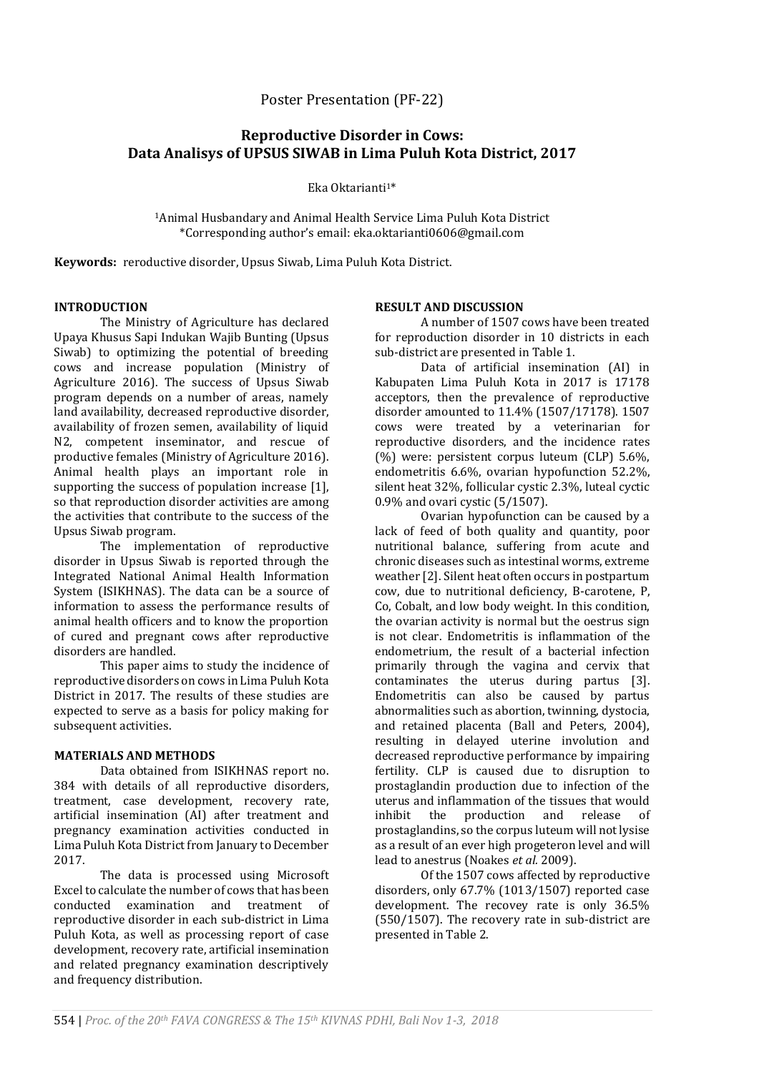# **Reproductive Disorder in Cows: Data Analisys of UPSUS SIWAB in Lima Puluh Kota District, 2017**

Eka Oktarianti<sup>1\*</sup>

<sup>1</sup>Animal Husbandary and Animal Health Service Lima Puluh Kota District \*Corresponding author's email: eka.oktarianti0606@gmail.com

**Keywords:** reroductive disorder, Upsus Siwab, Lima Puluh Kota District.

## **INTRODUCTION**

The Ministry of Agriculture has declared Upaya Khusus Sapi Indukan Wajib Bunting (Upsus Siwab) to optimizing the potential of breeding cows and increase population (Ministry of Agriculture 2016). The success of Upsus Siwab program depends on a number of areas, namely land availability, decreased reproductive disorder, availability of frozen semen, availability of liquid N2, competent inseminator, and rescue of productive females (Ministry of Agriculture 2016). Animal health plays an important role in supporting the success of population increase [1], so that reproduction disorder activities are among the activities that contribute to the success of the Upsus Siwab program.

The implementation of reproductive disorder in Upsus Siwab is reported through the Integrated National Animal Health Information System (ISIKHNAS). The data can be a source of information to assess the performance results of animal health officers and to know the proportion of cured and pregnant cows after reproductive disorders are handled.

This paper aims to study the incidence of reproductive disorders on cows in Lima Puluh Kota District in 2017. The results of these studies are expected to serve as a basis for policy making for subsequent activities.

## **MATERIALS AND METHODS**

Data obtained from ISIKHNAS report no. 384 with details of all reproductive disorders, treatment, case development, recovery rate, artificial insemination (AI) after treatment and pregnancy examination activities conducted in Lima Puluh Kota District from January to December 2017.

The data is processed using Microsoft Excel to calculate the number of cows that has been conducted examination and treatment of reproductive disorder in each sub-district in Lima Puluh Kota, as well as processing report of case development, recovery rate, artificial insemination and related pregnancy examination descriptively and frequency distribution.

#### **RESULT AND DISCUSSION**

A number of 1507 cows have been treated for reproduction disorder in 10 districts in each sub-district are presented in Table 1.

Data of artificial insemination (AI) in Kabupaten Lima Puluh Kota in 2017 is 17178 acceptors, then the prevalence of reproductive disorder amounted to 11.4% (1507/17178). 1507 cows were treated by a veterinarian for reproductive disorders, and the incidence rates (%) were: persistent corpus luteum (CLP) 5.6%, endometritis 6.6%, ovarian hypofunction 52.2%, silent heat 32%, follicular cystic 2.3%, luteal cyctic 0.9% and ovari cystic (5/1507).

Ovarian hypofunction can be caused by a lack of feed of both quality and quantity, poor nutritional balance, suffering from acute and chronic diseases such as intestinal worms, extreme weather [2]. Silent heat often occurs in postpartum cow, due to nutritional deficiency, B-carotene, P, Co, Cobalt, and low body weight. In this condition, the ovarian activity is normal but the oestrus sign is not clear. Endometritis is inflammation of the endometrium, the result of a bacterial infection primarily through the vagina and cervix that contaminates the uterus during partus [3]. Endometritis can also be caused by partus abnormalities such as abortion, twinning, dystocia, and retained placenta (Ball and Peters, 2004), resulting in delayed uterine involution and decreased reproductive performance by impairing fertility. CLP is caused due to disruption to prostaglandin production due to infection of the uterus and inflammation of the tissues that would inhibit the production and release of prostaglandins, so the corpus luteum will not lysise as a result of an ever high progeteron level and will lead to anestrus (Noakes *et al.* 2009).

Of the 1507 cows affected by reproductive disorders, only 67.7% (1013/1507) reported case development. The recovey rate is only 36.5% (550/1507). The recovery rate in sub-district are presented in Table 2.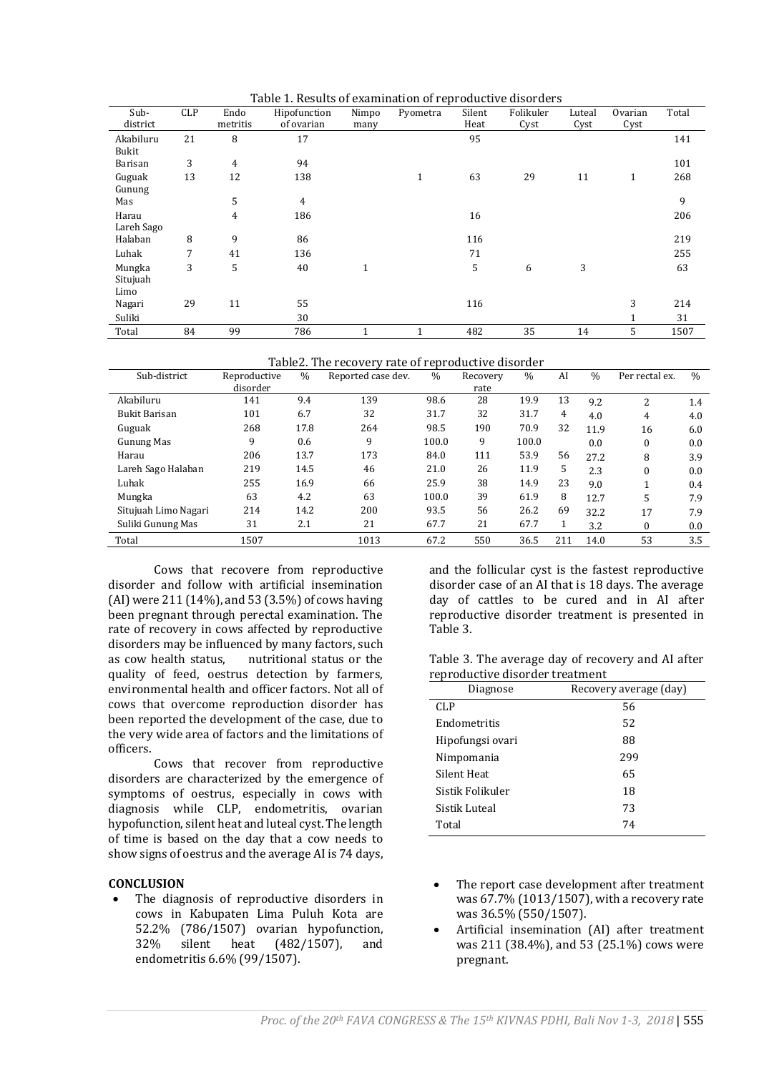Table 1. Results of examination of reproductive disorders

| Sub-       | <b>CLP</b> | Endo     | Table 1. Results of examination of reproductive also facts<br>Hipofunction | Nimpo | Pyometra     | Silent | Folikuler | Luteal | Ovarian      | Total |
|------------|------------|----------|----------------------------------------------------------------------------|-------|--------------|--------|-----------|--------|--------------|-------|
| district   |            | metritis | of ovarian                                                                 | many  |              | Heat   | Cyst      | Cyst   | Cyst         |       |
| Akabiluru  | 21         | 8        | 17                                                                         |       |              | 95     |           |        |              | 141   |
| Bukit      |            |          |                                                                            |       |              |        |           |        |              |       |
| Barisan    | 3          | 4        | 94                                                                         |       |              |        |           |        |              | 101   |
| Guguak     | 13         | 12       | 138                                                                        |       | $\mathbf{1}$ | 63     | 29        | 11     | $\mathbf{1}$ | 268   |
| Gunung     |            |          |                                                                            |       |              |        |           |        |              |       |
| Mas        |            | 5        | $\overline{4}$                                                             |       |              |        |           |        |              | 9     |
| Harau      |            | 4        | 186                                                                        |       |              | 16     |           |        |              | 206   |
| Lareh Sago |            |          |                                                                            |       |              |        |           |        |              |       |
| Halaban    | 8          | 9        | 86                                                                         |       |              | 116    |           |        |              | 219   |
| Luhak      | 7          | 41       | 136                                                                        |       |              | 71     |           |        |              | 255   |
| Mungka     | 3          | 5        | 40                                                                         | 1     |              | 5      | 6         | 3      |              | 63    |
| Situjuah   |            |          |                                                                            |       |              |        |           |        |              |       |
| Limo       |            |          |                                                                            |       |              |        |           |        |              |       |
| Nagari     | 29         | 11       | 55                                                                         |       |              | 116    |           |        | 3            | 214   |
| Suliki     |            |          | 30                                                                         |       |              |        |           |        |              | 31    |
| Total      | 84         | 99       | 786                                                                        |       |              | 482    | 35        | 14     | 5            | 1507  |

Table2. The recovery rate of reproductive disorder

| Sub-district         | Reproductive | $\frac{0}{0}$ | Reported case dev. | $\%$  | Recovery | $\frac{0}{0}$ | AI  | $\frac{0}{0}$ | Per rectal ex. | $\frac{0}{0}$ |
|----------------------|--------------|---------------|--------------------|-------|----------|---------------|-----|---------------|----------------|---------------|
|                      | disorder     |               |                    |       | rate     |               |     |               |                |               |
| Akabiluru            | 141          | 9.4           | 139                | 98.6  | 28       | 19.9          | 13  | 9.2           | 2              | 1.4           |
| Bukit Barisan        | 101          | 6.7           | 32                 | 31.7  | 32       | 31.7          | 4   | 4.0           | 4              | 4.0           |
| Guguak               | 268          | 17.8          | 264                | 98.5  | 190      | 70.9          | 32  | 11.9          | 16             | 6.0           |
| Gunung Mas           | 9            | 0.6           | 9                  | 100.0 | 9        | 100.0         |     | 0.0           | $\Omega$       | 0.0           |
| Harau                | 206          | 13.7          | 173                | 84.0  | 111      | 53.9          | 56  | 27.2          | 8              | 3.9           |
| Lareh Sago Halaban   | 219          | 14.5          | 46                 | 21.0  | 26       | 11.9          | 5   | 2.3           | $\Omega$       | 0.0           |
| Luhak                | 255          | 16.9          | 66                 | 25.9  | 38       | 14.9          | 23  | 9.0           |                | 0.4           |
| Mungka               | 63           | 4.2           | 63                 | 100.0 | 39       | 61.9          | 8   | 12.7          | 5              | 7.9           |
| Situjuah Limo Nagari | 214          | 14.2          | 200                | 93.5  | 56       | 26.2          | 69  | 32.2          | 17             | 7.9           |
| Suliki Gunung Mas    | 31           | 2.1           | 21                 | 67.7  | 21       | 67.7          |     | 3.2           | $\Omega$       | 0.0           |
| Total                | 1507         |               | 1013               | 67.2  | 550      | 36.5          | 211 | 14.0          | 53             | 3.5           |

Cows that recovere from reproductive disorder and follow with artificial insemination (AI) were 211 (14%), and 53 (3.5%) of cows having been pregnant through perectal examination. The rate of recovery in cows affected by reproductive disorders may be influenced by many factors, such as cow health status, nutritional status or the quality of feed, oestrus detection by farmers, environmental health and officer factors. Not all of cows that overcome reproduction disorder has been reported the development of the case, due to the very wide area of factors and the limitations of officers.

Cows that recover from reproductive disorders are characterized by the emergence of symptoms of oestrus, especially in cows with diagnosis while CLP, endometritis, ovarian hypofunction, silent heat and luteal cyst. The length of time is based on the day that a cow needs to show signs of oestrus and the average AI is 74 days,

## **CONCLUSION**

 The diagnosis of reproductive disorders in cows in Kabupaten Lima Puluh Kota are 52.2% (786/1507) ovarian hypofunction, 32% silent heat (482/1507), and endometritis 6.6% (99/1507).

and the follicular cyst is the fastest reproductive disorder case of an AI that is 18 days. The average day of cattles to be cured and in AI after reproductive disorder treatment is presented in Table 3.

Table 3. The average day of recovery and AI after reproductive disorder treatment

| Diagnose         | Recovery average (day) |  |  |  |  |  |
|------------------|------------------------|--|--|--|--|--|
| <b>CLP</b>       | 56                     |  |  |  |  |  |
| Endometritis     | 52                     |  |  |  |  |  |
| Hipofungsi ovari | 88                     |  |  |  |  |  |
| Nimpomania       | 299                    |  |  |  |  |  |
| Silent Heat      | 65                     |  |  |  |  |  |
| Sistik Folikuler | 18                     |  |  |  |  |  |
| Sistik Luteal    | 73                     |  |  |  |  |  |
| Total            | 74                     |  |  |  |  |  |

- The report case development after treatment was 67.7% (1013/1507), with a recovery rate was 36.5% (550/1507).
- Artificial insemination (AI) after treatment was 211 (38.4%), and 53 (25.1%) cows were pregnant.